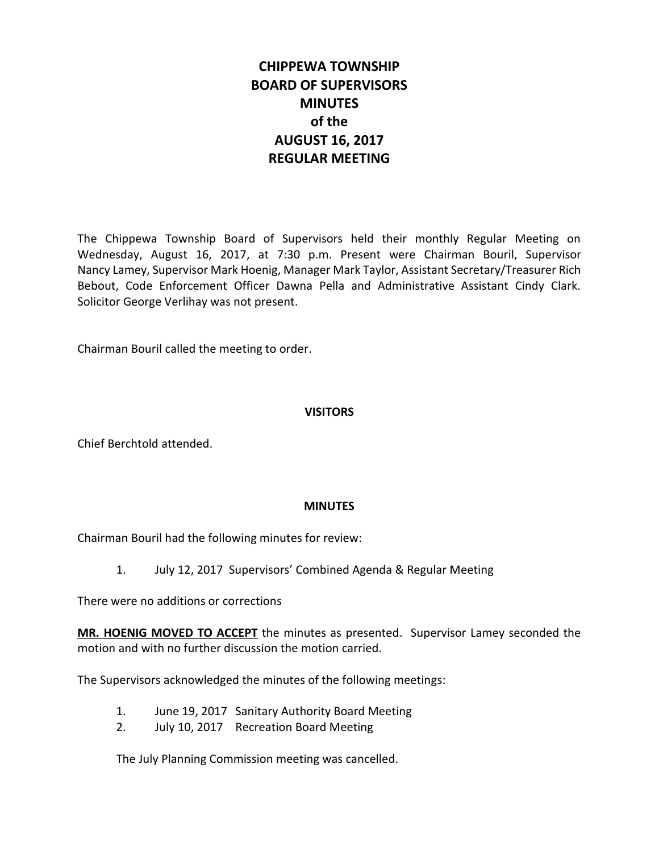# **CHIPPEWA TOWNSHIP BOARD OF SUPERVISORS MINUTES of the AUGUST 16, 2017 REGULAR MEETING**

The Chippewa Township Board of Supervisors held their monthly Regular Meeting on Wednesday, August 16, 2017, at 7:30 p.m. Present were Chairman Bouril, Supervisor Nancy Lamey, Supervisor Mark Hoenig, Manager Mark Taylor, Assistant Secretary/Treasurer Rich Bebout, Code Enforcement Officer Dawna Pella and Administrative Assistant Cindy Clark. Solicitor George Verlihay was not present.

Chairman Bouril called the meeting to order.

## **VISITORS**

Chief Berchtold attended.

## **MINUTES**

Chairman Bouril had the following minutes for review:

1. July 12, 2017 Supervisors' Combined Agenda & Regular Meeting

There were no additions or corrections

**MR. HOENIG MOVED TO ACCEPT** the minutes as presented. Supervisor Lamey seconded the motion and with no further discussion the motion carried.

The Supervisors acknowledged the minutes of the following meetings:

- 1. June 19, 2017 Sanitary Authority Board Meeting
- 2. July 10, 2017 Recreation Board Meeting

The July Planning Commission meeting was cancelled.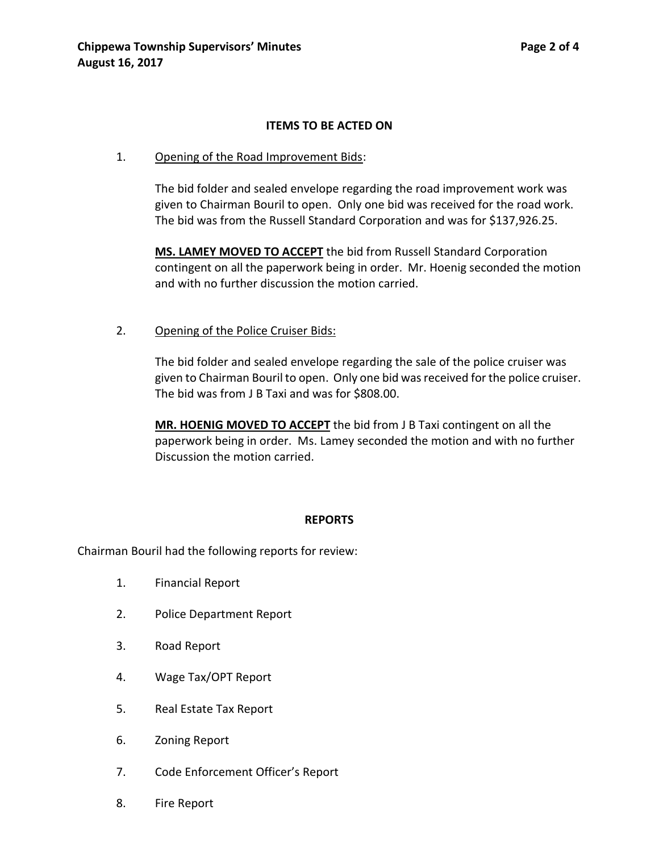#### **ITEMS TO BE ACTED ON**

#### 1. Opening of the Road Improvement Bids:

The bid folder and sealed envelope regarding the road improvement work was given to Chairman Bouril to open. Only one bid was received for the road work. The bid was from the Russell Standard Corporation and was for \$137,926.25.

**MS. LAMEY MOVED TO ACCEPT** the bid from Russell Standard Corporation contingent on all the paperwork being in order. Mr. Hoenig seconded the motion and with no further discussion the motion carried.

#### 2. Opening of the Police Cruiser Bids:

The bid folder and sealed envelope regarding the sale of the police cruiser was given to Chairman Bouril to open. Only one bid was received for the police cruiser. The bid was from J B Taxi and was for \$808.00.

**MR. HOENIG MOVED TO ACCEPT** the bid from J B Taxi contingent on all the paperwork being in order. Ms. Lamey seconded the motion and with no further Discussion the motion carried.

#### **REPORTS**

Chairman Bouril had the following reports for review:

- 1. Financial Report
- 2. Police Department Report
- 3. Road Report
- 4. Wage Tax/OPT Report
- 5. Real Estate Tax Report
- 6. Zoning Report
- 7. Code Enforcement Officer's Report
- 8. Fire Report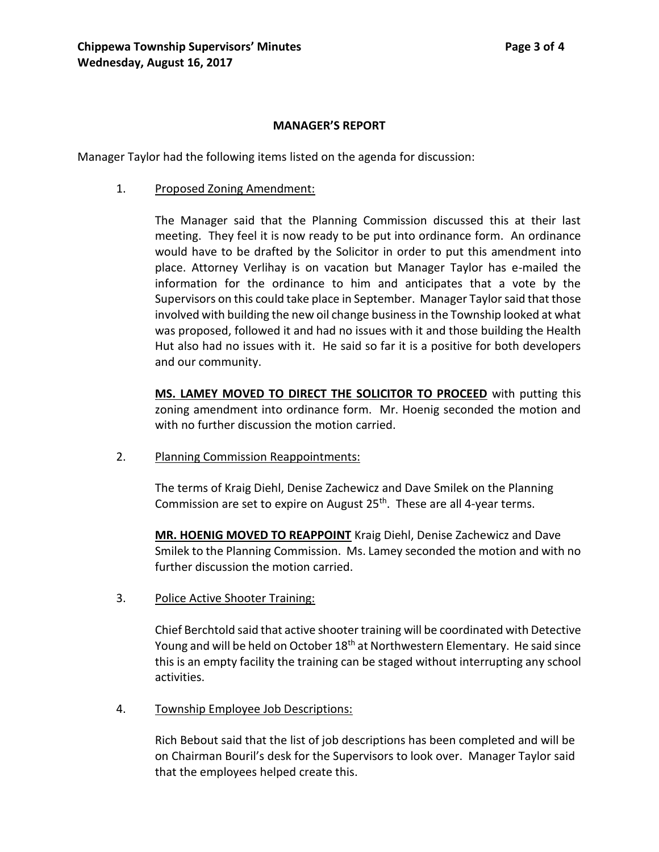#### **MANAGER'S REPORT**

Manager Taylor had the following items listed on the agenda for discussion:

1. Proposed Zoning Amendment:

The Manager said that the Planning Commission discussed this at their last meeting. They feel it is now ready to be put into ordinance form. An ordinance would have to be drafted by the Solicitor in order to put this amendment into place. Attorney Verlihay is on vacation but Manager Taylor has e-mailed the information for the ordinance to him and anticipates that a vote by the Supervisors on this could take place in September. Manager Taylor said that those involved with building the new oil change business in the Township looked at what was proposed, followed it and had no issues with it and those building the Health Hut also had no issues with it. He said so far it is a positive for both developers and our community.

**MS. LAMEY MOVED TO DIRECT THE SOLICITOR TO PROCEED** with putting this zoning amendment into ordinance form. Mr. Hoenig seconded the motion and with no further discussion the motion carried.

2. Planning Commission Reappointments:

The terms of Kraig Diehl, Denise Zachewicz and Dave Smilek on the Planning Commission are set to expire on August 25<sup>th</sup>. These are all 4-year terms.

**MR. HOENIG MOVED TO REAPPOINT** Kraig Diehl, Denise Zachewicz and Dave Smilek to the Planning Commission. Ms. Lamey seconded the motion and with no further discussion the motion carried.

3. Police Active Shooter Training:

Chief Berchtold said that active shooter training will be coordinated with Detective Young and will be held on October 18<sup>th</sup> at Northwestern Elementary. He said since this is an empty facility the training can be staged without interrupting any school activities.

4. Township Employee Job Descriptions:

Rich Bebout said that the list of job descriptions has been completed and will be on Chairman Bouril's desk for the Supervisors to look over. Manager Taylor said that the employees helped create this.